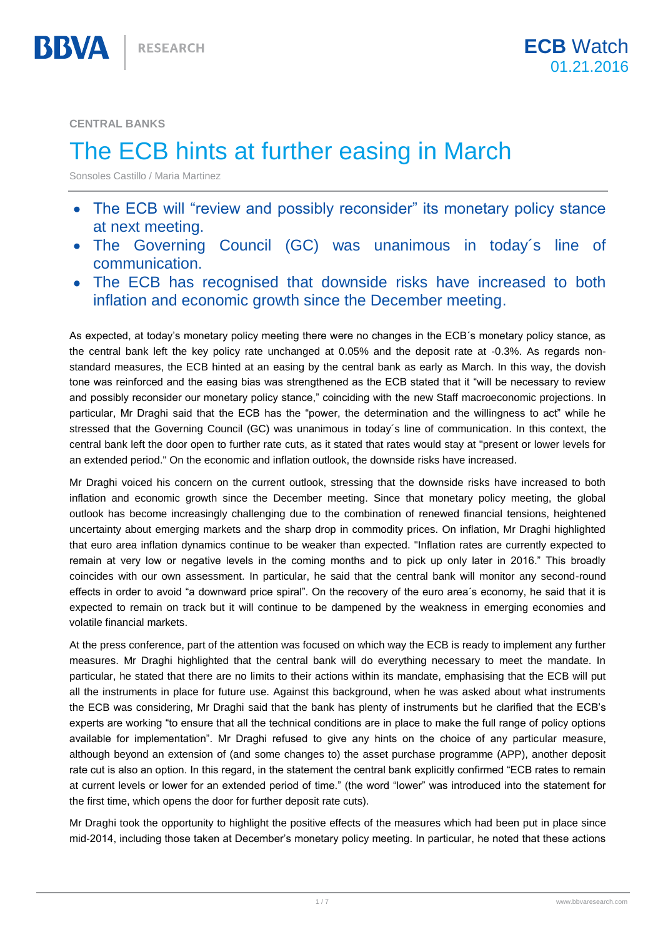**CENTRAL BANKS**

BBVA

## The ECB hints at further easing in March

Sonsoles Castillo / Maria Martinez

- The ECB will "review and possibly reconsider" its monetary policy stance  $\bullet$ at next meeting.
- The Governing Council (GC) was unanimous in today´s line of communication.
- The ECB has recognised that downside risks have increased to both inflation and economic growth since the December meeting.

As expected, at today's monetary policy meeting there were no changes in the ECB´s monetary policy stance, as the central bank left the key policy rate unchanged at 0.05% and the deposit rate at -0.3%. As regards nonstandard measures, the ECB hinted at an easing by the central bank as early as March. In this way, the dovish tone was reinforced and the easing bias was strengthened as the ECB stated that it "will be necessary to review and possibly reconsider our monetary policy stance," coinciding with the new Staff macroeconomic projections. In particular, Mr Draghi said that the ECB has the "power, the determination and the willingness to act" while he stressed that the Governing Council (GC) was unanimous in today´s line of communication. In this context, the central bank left the door open to further rate cuts, as it stated that rates would stay at "present or lower levels for an extended period." On the economic and inflation outlook, the downside risks have increased.

Mr Draghi voiced his concern on the current outlook, stressing that the downside risks have increased to both inflation and economic growth since the December meeting. Since that monetary policy meeting, the global outlook has become increasingly challenging due to the combination of renewed financial tensions, heightened uncertainty about emerging markets and the sharp drop in commodity prices. On inflation, Mr Draghi highlighted that euro area inflation dynamics continue to be weaker than expected. "Inflation rates are currently expected to remain at very low or negative levels in the coming months and to pick up only later in 2016." This broadly coincides with our own assessment. In particular, he said that the central bank will monitor any second-round effects in order to avoid "a downward price spiral". On the recovery of the euro area´s economy, he said that it is expected to remain on track but it will continue to be dampened by the weakness in emerging economies and volatile financial markets.

At the press conference, part of the attention was focused on which way the ECB is ready to implement any further measures. Mr Draghi highlighted that the central bank will do everything necessary to meet the mandate. In particular, he stated that there are no limits to their actions within its mandate, emphasising that the ECB will put all the instruments in place for future use. Against this background, when he was asked about what instruments the ECB was considering, Mr Draghi said that the bank has plenty of instruments but he clarified that the ECB's experts are working "to ensure that all the technical conditions are in place to make the full range of policy options available for implementation". Mr Draghi refused to give any hints on the choice of any particular measure, although beyond an extension of (and some changes to) the asset purchase programme (APP), another deposit rate cut is also an option. In this regard, in the statement the central bank explicitly confirmed "ECB rates to remain at current levels or lower for an extended period of time." (the word "lower" was introduced into the statement for the first time, which opens the door for further deposit rate cuts).

Mr Draghi took the opportunity to highlight the positive effects of the measures which had been put in place since mid-2014, including those taken at December's monetary policy meeting. In particular, he noted that these actions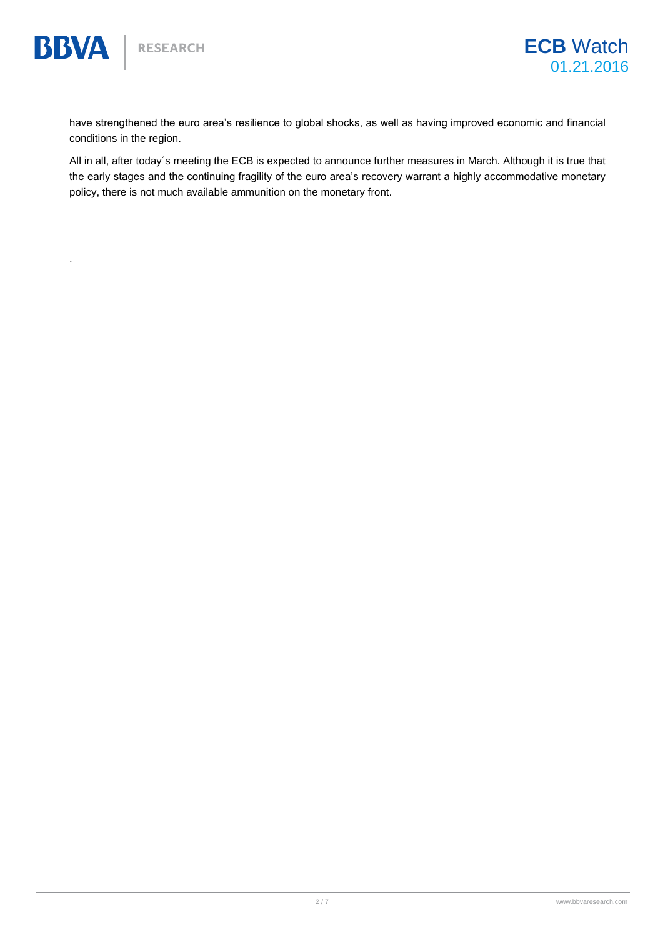.

**BBVA** 

have strengthened the euro area's resilience to global shocks, as well as having improved economic and financial conditions in the region.

All in all, after today´s meeting the ECB is expected to announce further measures in March. Although it is true that the early stages and the continuing fragility of the euro area's recovery warrant a highly accommodative monetary policy, there is not much available ammunition on the monetary front.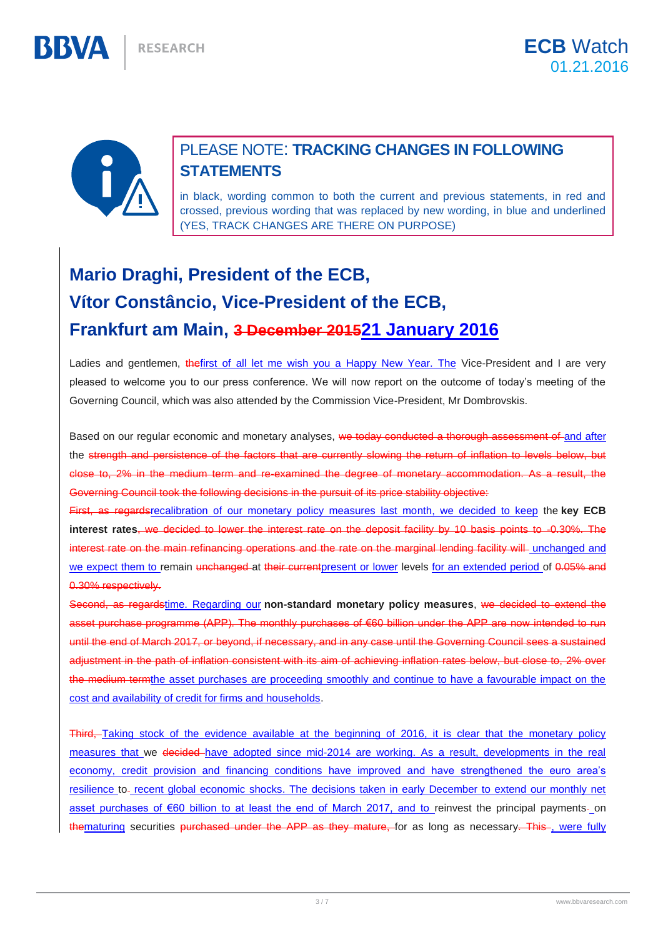

BBWA

## PLEASE NOTE: **TRACKING CHANGES IN FOLLOWING STATEMENTS**

in black, wording common to both the current and previous statements, in red and crossed, previous wording that was replaced by new wording, in blue and underlined (YES, TRACK CHANGES ARE THERE ON PURPOSE)

## **Mario Draghi, President of the ECB, Vítor Constâncio, Vice-President of the ECB, Frankfurt am Main, 3 December 201521 January 2016**

Ladies and gentlemen, thefirst of all let me wish you a Happy New Year. The Vice-President and I are very pleased to welcome you to our press conference. We will now report on the outcome of today's meeting of the Governing Council, which was also attended by the Commission Vice-President, Mr Dombrovskis.

Based on our regular economic and monetary analyses, we today conducted a thorough assessment of and after the strength and persistence of the factors that are currently slowing the return of inflation to levels below, but close to, 2% in the medium term and re-examined the degree of monetary accommodation. As a result, the Governing Council took the following decisions in the pursuit of its price stability objective:

First, as regardsrecalibration of our monetary policy measures last month, we decided to keep the **key ECB interest rates**, we decided to lower the interest rate on the deposit facility by 10 basis points to -0.30%. The interest rate on the main refinancing operations and the rate on the marginal lending facility will unchanged and we expect them to remain unchanged at their current present or lower levels for an extended period of 0.05% and 0.30% respectively.

Second, as regardstime. Regarding our **non-standard monetary policy measures**, we decided to extend the asset purchase programme (APP). The monthly purchases of €60 billion under the APP are now intended to run until the end of March 2017, or beyond, if necessary, and in any case until the Governing Council sees a sustained adjustment in the path of inflation consistent with its aim of achieving inflation rates below, but close to, 2% over the medium termthe asset purchases are proceeding smoothly and continue to have a favourable impact on the cost and availability of credit for firms and households.

Third, Taking stock of the evidence available at the beginning of 2016, it is clear that the monetary policy measures that we decided have adopted since mid-2014 are working. As a result, developments in the real economy, credit provision and financing conditions have improved and have strengthened the euro area's resilience to recent global economic shocks. The decisions taken in early December to extend our monthly net asset purchases of €60 billion to at least the end of March 2017, and to reinvest the principal payments- on thematuring securities purchased under the APP as they mature, for as long as necessary. This -, were fully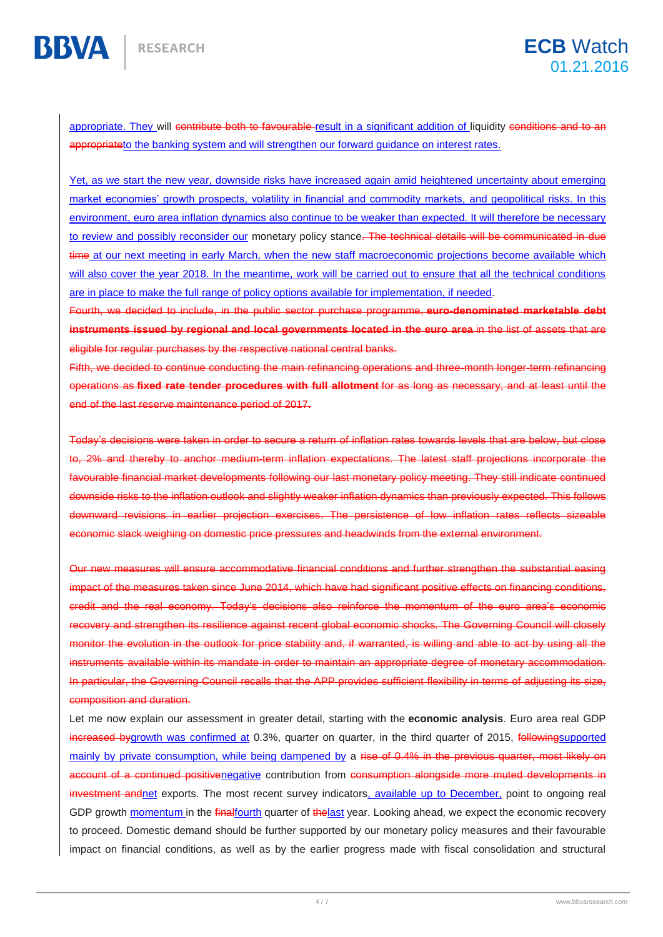appropriate. They will contribute both to favourable result in a significant addition of liquidity conditions and to an appropriateto the banking system and will strengthen our forward guidance on interest rates.

Yet, as we start the new year, downside risks have increased again amid heightened uncertainty about emerging market economies' growth prospects, volatility in financial and commodity markets, and geopolitical risks. In this environment, euro area inflation dynamics also continue to be weaker than expected. It will therefore be necessary to review and possibly reconsider our monetary policy stance. The technical details will be communicated in due time at our next meeting in early March, when the new staff macroeconomic projections become available which will also cover the year 2018. In the meantime, work will be carried out to ensure that all the technical conditions are in place to make the full range of policy options available for implementation, if needed.

Fourth, we decided to include, in the public sector purchase programme, **euro-denominated marketable debt instruments issued by regional and local governments located in the euro area** in the list of assets that are eligible for regular purchases by the respective national central banks.

Fifth, we decided to continue conducting the main refinancing operations and three-month longer-term refinancing operations as **fixed rate tender procedures with full allotment** for as long as necessary, and at least until the end of the last reserve maintenance period of 2017.

Today's decisions were taken in order to secure a return of inflation rates towards levels that are below, but close to, 2% and thereby to anchor medium-term inflation expectations. The latest staff projections incorporate the favourable financial market developments following our last monetary policy meeting. They still indicate continued downside risks to the inflation outlook and slightly weaker inflation dynamics than previously expected. This follows downward revisions in earlier projection exercises. The persistence of low inflation rates reflects sizeable economic slack weighing on domestic price pressures and headwinds from the external environment.

Our new measures will ensure accommodative financial conditions and further strengthen the substantial easing impact of the measures taken since June 2014, which have had significant positive effects on financing conditions, credit and the real economy. Today's decisions also reinforce the momentum of the euro area's economic and strengthen its resilience against recent global economic shocks. The Governing Council will closely monitor the evolution in the outlook for price stability and, if warranted, is willing and able to act by using all the within its mandate in order to maintain an appropriate degree of monetary accommodation. In particular, the Governing Council recalls that the APP provides sufficient flexibility in terms of adjusting its size, composition and duration.

Let me now explain our assessment in greater detail, starting with the **economic analysis**. Euro area real GDP increased bygrowth was confirmed at 0.3%, quarter on quarter, in the third quarter of 2015, followingsupported mainly by private consumption, while being dampened by a rise of 0.4% in the previous quarter, most likely on account of a continued positivenegative contribution from consumption alongside more muted developments in investment andnet exports. The most recent survey indicators, available up to December, point to ongoing real GDP growth momentum in the finalfourth quarter of the last year. Looking ahead, we expect the economic recovery to proceed. Domestic demand should be further supported by our monetary policy measures and their favourable impact on financial conditions, as well as by the earlier progress made with fiscal consolidation and structural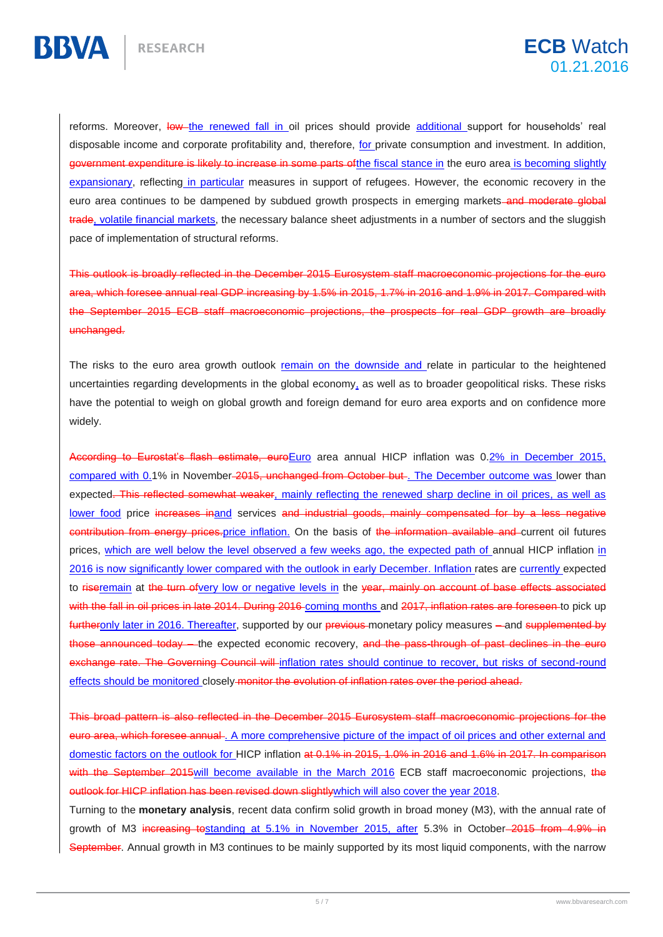reforms. Moreover, low the renewed fall in oil prices should provide additional support for households' real disposable income and corporate profitability and, therefore, for private consumption and investment. In addition, government expenditure is likely to increase in some parts of the fiscal stance in the euro area is becoming slightly expansionary, reflecting in particular measures in support of refugees. However, the economic recovery in the euro area continues to be dampened by subdued growth prospects in emerging markets-and moderate global trade, volatile financial markets, the necessary balance sheet adjustments in a number of sectors and the sluggish pace of implementation of structural reforms.

This outlook is broadly reflected in the December 2015 Eurosystem staff macroeconomic projections for the euro area, which foresee annual real GDP increasing by 1.5% in 2015, 1.7% in 2016 and 1.9% in 2017. Compared with the September 2015 ECB staff macroeconomic projections, the prospects for real GDP growth are broadly unchanged.

The risks to the euro area growth outlook remain on the downside and relate in particular to the heightened uncertainties regarding developments in the global economy, as well as to broader geopolitical risks. These risks have the potential to weigh on global growth and foreign demand for euro area exports and on confidence more widely.

According to Eurostat's flash estimate, euroEuro area annual HICP inflation was 0.2% in December 2015, compared with 0.1% in November-2015, unchanged from October but. The December outcome was lower than expected. This reflected somewhat weaker, mainly reflecting the renewed sharp decline in oil prices, as well as lower food price increases inand services and industrial goods, mainly compensated for by a less negative contribution from energy prices.price inflation. On the basis of the information available and current oil futures prices, which are well below the level observed a few weeks ago, the expected path of annual HICP inflation in 2016 is now significantly lower compared with the outlook in early December. Inflation rates are currently expected to riseremain at the turn ofvery low or negative levels in the year, mainly on account of base effects associated with the fall in oil prices in late 2014. During 2016 coming months and 2017, inflation rates are foreseen to pick up furtheronly later in 2016. Thereafter, supported by our previous monetary policy measures - and supplemented by announced today – the expected economic recovery, and the pass-through of past declines in the euro rate. The Governing Council will inflation rates should continue to recover, but risks of second-round effects should be monitored closely monitor the evolution of inflation rates over the period ahead.

This broad pattern is also reflected in the December 2015 Eurosystem staff macroeconomic projections for the euro area, which foresee annual . A more comprehensive picture of the impact of oil prices and other external and domestic factors on the outlook for HICP inflation at 0.1% in 2015, 1.0% in 2016 and 1.6% in 2017. In comparison with the September 2015 will become available in the March 2016 ECB staff macroeconomic projections, the outlook for HICP inflation has been revised down slightly which will also cover the year 2018.

Turning to the **monetary analysis**, recent data confirm solid growth in broad money (M3), with the annual rate of growth of M3 increasing tostanding at 5.1% in November 2015, after 5.3% in October 2015 from 4.9% in September. Annual growth in M3 continues to be mainly supported by its most liquid components, with the narrow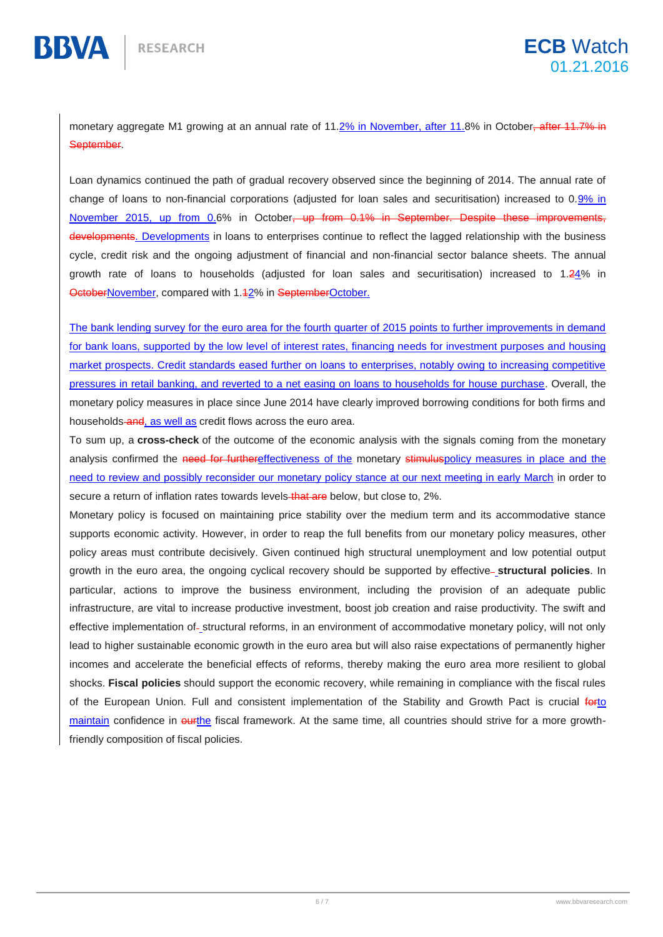BBVA

monetary aggregate M1 growing at an annual rate of 11.2% in November, after 11.8% in October<del>, after 11.7% in</del> September.

Loan dynamics continued the path of gradual recovery observed since the beginning of 2014. The annual rate of change of loans to non-financial corporations (adjusted for loan sales and securitisation) increased to 0.9% in November 2015, up from 0.6% in October<del>, up from 0.1% in September. Despite these improvements,</del> developments. Developments in loans to enterprises continue to reflect the lagged relationship with the business cycle, credit risk and the ongoing adjustment of financial and non-financial sector balance sheets. The annual growth rate of loans to households (adjusted for loan sales and securitisation) increased to 1.24% in OctoberNovember, compared with 1.12% in SeptemberOctober.

The bank lending survey for the euro area for the fourth quarter of 2015 points to further improvements in demand for bank loans, supported by the low level of interest rates, financing needs for investment purposes and housing market prospects. Credit standards eased further on loans to enterprises, notably owing to increasing competitive pressures in retail banking, and reverted to a net easing on loans to households for house purchase. Overall, the monetary policy measures in place since June 2014 have clearly improved borrowing conditions for both firms and households-and, as well as credit flows across the euro area.

To sum up, a **cross-check** of the outcome of the economic analysis with the signals coming from the monetary analysis confirmed the need for furthereffectiveness of the monetary stimuluspolicy measures in place and the need to review and possibly reconsider our monetary policy stance at our next meeting in early March in order to secure a return of inflation rates towards levels that are below, but close to, 2%.

Monetary policy is focused on maintaining price stability over the medium term and its accommodative stance supports economic activity. However, in order to reap the full benefits from our monetary policy measures, other policy areas must contribute decisively. Given continued high structural unemployment and low potential output growth in the euro area, the ongoing cyclical recovery should be supported by effective **structural policies**. In particular, actions to improve the business environment, including the provision of an adequate public infrastructure, are vital to increase productive investment, boost job creation and raise productivity. The swift and effective implementation of- structural reforms, in an environment of accommodative monetary policy, will not only lead to higher sustainable economic growth in the euro area but will also raise expectations of permanently higher incomes and accelerate the beneficial effects of reforms, thereby making the euro area more resilient to global shocks. **Fiscal policies** should support the economic recovery, while remaining in compliance with the fiscal rules of the European Union. Full and consistent implementation of the Stability and Growth Pact is crucial forto maintain confidence in ourthe fiscal framework. At the same time, all countries should strive for a more growthfriendly composition of fiscal policies.